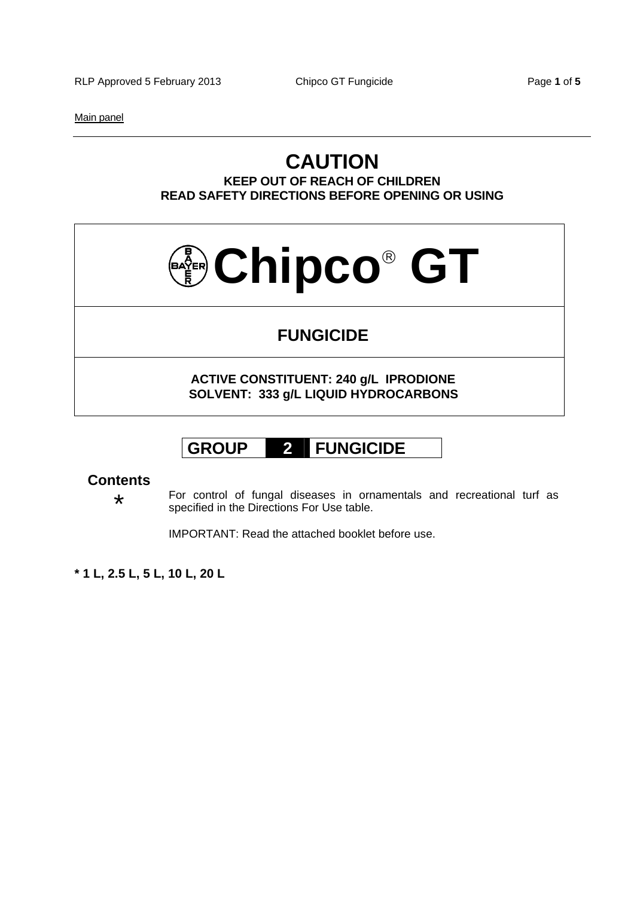RLP Approved 5 February 2013 Chipco GT Fungicide Page 1 of 5

Main panel

## **CAUTION KEEP OUT OF REACH OF CHILDREN READ SAFETY DIRECTIONS BEFORE OPENING OR USING**

# **Chipco GT**

# **FUNGICIDE**

**ACTIVE CONSTITUENT: 240 g/L IPRODIONE SOLVENT: 333 g/L LIQUID HYDROCARBONS** 

# **GROUP 2 FUNGICIDE**

## **Contents**

\* For control of fungal diseases in ornamentals and recreational turf as specified in the Directions For Use table.

IMPORTANT: Read the attached booklet before use.

**\* 1 L, 2.5 L, 5 L, 10 L, 20 L**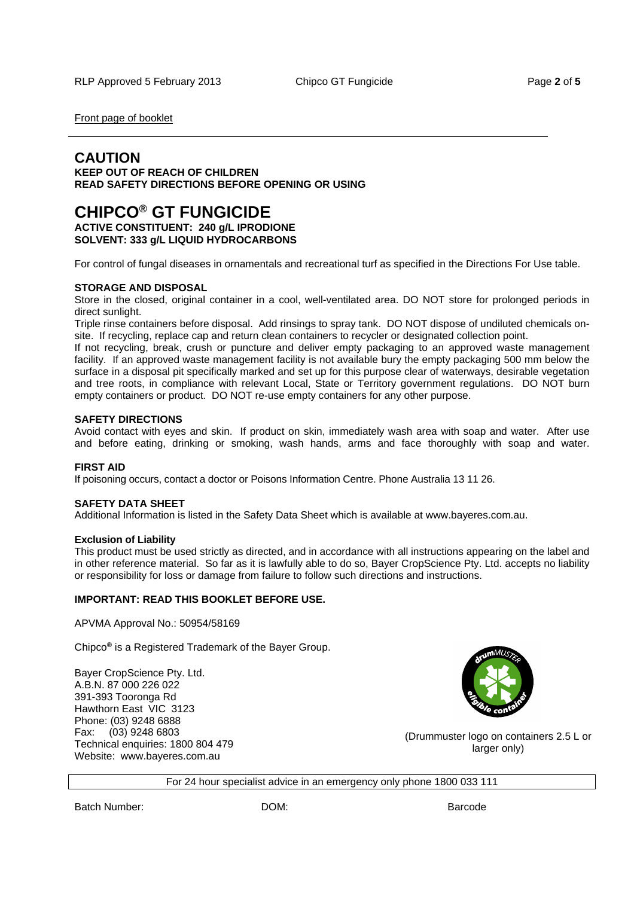Front page of booklet

## **CAUTION**

**KEEP OUT OF REACH OF CHILDREN READ SAFETY DIRECTIONS BEFORE OPENING OR USING** 

# **CHIPCO® GT FUNGICIDE**

**ACTIVE CONSTITUENT: 240 g/L IPRODIONE SOLVENT: 333 g/L LIQUID HYDROCARBONS** 

For control of fungal diseases in ornamentals and recreational turf as specified in the Directions For Use table.

#### **STORAGE AND DISPOSAL**

Store in the closed, original container in a cool, well-ventilated area. DO NOT store for prolonged periods in direct sunlight.

Triple rinse containers before disposal. Add rinsings to spray tank. DO NOT dispose of undiluted chemicals onsite. If recycling, replace cap and return clean containers to recycler or designated collection point.

If not recycling, break, crush or puncture and deliver empty packaging to an approved waste management facility. If an approved waste management facility is not available bury the empty packaging 500 mm below the surface in a disposal pit specifically marked and set up for this purpose clear of waterways, desirable vegetation and tree roots, in compliance with relevant Local, State or Territory government regulations. DO NOT burn empty containers or product. DO NOT re-use empty containers for any other purpose.

#### **SAFETY DIRECTIONS**

Avoid contact with eyes and skin. If product on skin, immediately wash area with soap and water. After use and before eating, drinking or smoking, wash hands, arms and face thoroughly with soap and water.

#### **FIRST AID**

If poisoning occurs, contact a doctor or Poisons Information Centre. Phone Australia 13 11 26.

#### **SAFETY DATA SHEET**

Additional Information is listed in the Safety Data Sheet which is available at www.bayeres.com.au.

#### **Exclusion of Liability**

This product must be used strictly as directed, and in accordance with all instructions appearing on the label and in other reference material. So far as it is lawfully able to do so, Bayer CropScience Pty. Ltd. accepts no liability or responsibility for loss or damage from failure to follow such directions and instructions.

#### **IMPORTANT: READ THIS BOOKLET BEFORE USE.**

APVMA Approval No.: 50954/58169

Chipco**®** is a Registered Trademark of the Bayer Group.

Bayer CropScience Pty. Ltd. A.B.N. 87 000 226 022 391-393 Tooronga Rd Hawthorn East VIC 3123 Phone: (03) 9248 6888 Fax: (03) 9248 6803 Technical enquiries: 1800 804 479 Website: www.bayeres.com.au



(Drummuster logo on containers 2.5 L or larger only)

For 24 hour specialist advice in an emergency only phone 1800 033 111

Batch Number: DOM: Barcode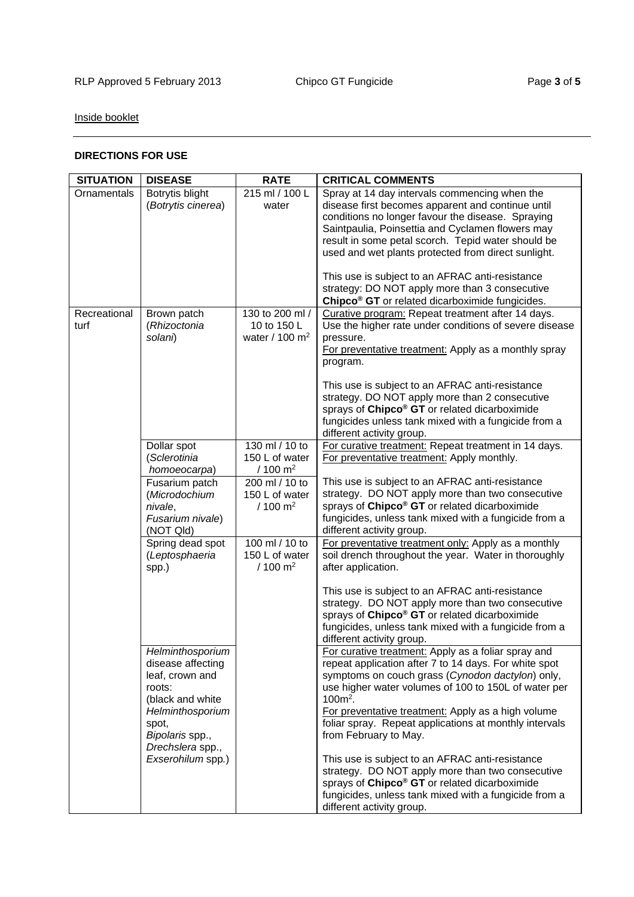## Inside booklet

### **DIRECTIONS FOR USE**

| <b>SITUATION</b>     | <b>DISEASE</b>                                                                                                                                                                  | <b>RATE</b>                                                                  | <b>CRITICAL COMMENTS</b>                                                                                                                                                                                                                                                                                                                                                                                                                            |
|----------------------|---------------------------------------------------------------------------------------------------------------------------------------------------------------------------------|------------------------------------------------------------------------------|-----------------------------------------------------------------------------------------------------------------------------------------------------------------------------------------------------------------------------------------------------------------------------------------------------------------------------------------------------------------------------------------------------------------------------------------------------|
| Ornamentals          | Botrytis blight<br>(Botrytis cinerea)                                                                                                                                           | 215 ml / 100 L<br>water                                                      | Spray at 14 day intervals commencing when the<br>disease first becomes apparent and continue until<br>conditions no longer favour the disease. Spraying<br>Saintpaulia, Poinsettia and Cyclamen flowers may<br>result in some petal scorch. Tepid water should be<br>used and wet plants protected from direct sunlight.<br>This use is subject to an AFRAC anti-resistance                                                                         |
|                      |                                                                                                                                                                                 |                                                                              | strategy: DO NOT apply more than 3 consecutive<br>Chipco <sup>®</sup> GT or related dicarboximide fungicides.                                                                                                                                                                                                                                                                                                                                       |
| Recreational<br>turf | Brown patch<br>(Rhizoctonia<br>solani)                                                                                                                                          | 130 to 200 ml /<br>10 to 150 L<br>water / $100 \text{ m}^2$                  | Curative program: Repeat treatment after 14 days.<br>Use the higher rate under conditions of severe disease<br>pressure.<br>For preventative treatment: Apply as a monthly spray<br>program.<br>This use is subject to an AFRAC anti-resistance<br>strategy. DO NOT apply more than 2 consecutive<br>sprays of Chipco <sup>®</sup> GT or related dicarboximide<br>fungicides unless tank mixed with a fungicide from a<br>different activity group. |
|                      | Dollar spot<br>(Sclerotinia                                                                                                                                                     | 130 ml / 10 to<br>150 L of water                                             | For curative treatment: Repeat treatment in 14 days.<br>For preventative treatment: Apply monthly.                                                                                                                                                                                                                                                                                                                                                  |
|                      | homoeocarpa)<br>Fusarium patch<br>(Microdochium<br>nivale,<br>Fusarium nivale)<br>(NOT Qld)                                                                                     | $/100 \text{ m}^2$<br>200 ml / 10 to<br>150 L of water<br>$/100 \text{ m}^2$ | This use is subject to an AFRAC anti-resistance<br>strategy. DO NOT apply more than two consecutive<br>sprays of Chipco <sup>®</sup> GT or related dicarboximide<br>fungicides, unless tank mixed with a fungicide from a<br>different activity group.                                                                                                                                                                                              |
|                      | Spring dead spot<br>(Leptosphaeria<br>spp.)                                                                                                                                     | 100 ml / 10 to<br>150 L of water<br>$/ 100 \text{ m}^2$                      | For preventative treatment only: Apply as a monthly<br>soil drench throughout the year. Water in thoroughly<br>after application.                                                                                                                                                                                                                                                                                                                   |
|                      |                                                                                                                                                                                 |                                                                              | This use is subject to an AFRAC anti-resistance<br>strategy. DO NOT apply more than two consecutive<br>sprays of Chipco <sup>®</sup> GT or related dicarboximide<br>fungicides, unless tank mixed with a fungicide from a<br>different activity group.                                                                                                                                                                                              |
|                      | Helminthosporium<br>disease affecting<br>leaf, crown and<br>roots:<br>(black and white<br>Helminthosporium<br>spot,<br>Bipolaris spp.,<br>Drechslera spp.,<br>Exserohilum spp.) |                                                                              | For curative treatment: Apply as a foliar spray and<br>repeat application after 7 to 14 days. For white spot<br>symptoms on couch grass (Cynodon dactylon) only,<br>use higher water volumes of 100 to 150L of water per<br>$100m^2$ .<br>For preventative treatment: Apply as a high volume<br>foliar spray. Repeat applications at monthly intervals<br>from February to May.                                                                     |
|                      |                                                                                                                                                                                 |                                                                              | This use is subject to an AFRAC anti-resistance<br>strategy. DO NOT apply more than two consecutive<br>sprays of Chipco <sup>®</sup> GT or related dicarboximide<br>fungicides, unless tank mixed with a fungicide from a<br>different activity group.                                                                                                                                                                                              |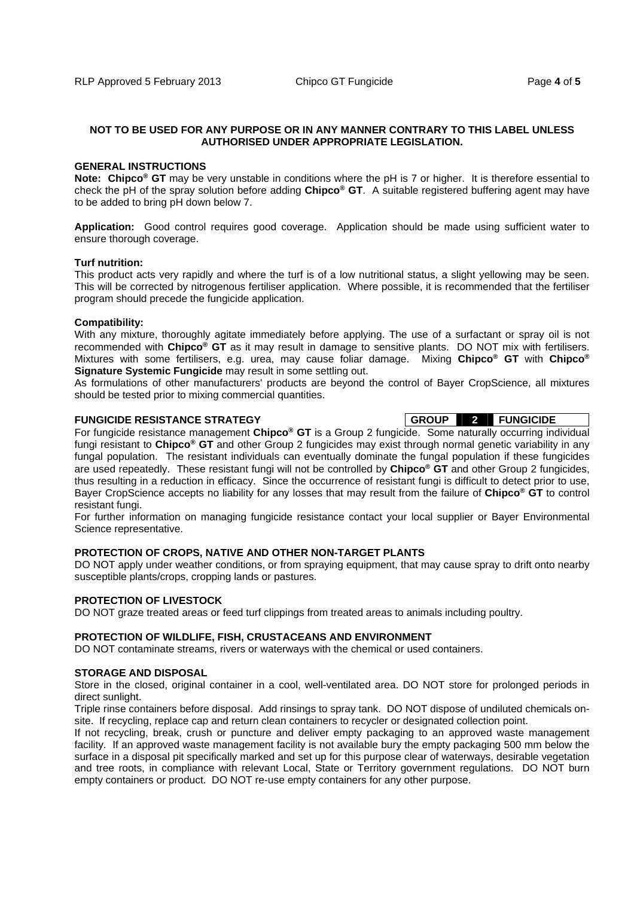#### **NOT TO BE USED FOR ANY PURPOSE OR IN ANY MANNER CONTRARY TO THIS LABEL UNLESS AUTHORISED UNDER APPROPRIATE LEGISLATION.**

#### **GENERAL INSTRUCTIONS**

**Note: Chipco® GT** may be very unstable in conditions where the pH is 7 or higher. It is therefore essential to check the pH of the spray solution before adding **Chipco® GT**. A suitable registered buffering agent may have to be added to bring pH down below 7.

**Application:** Good control requires good coverage. Application should be made using sufficient water to ensure thorough coverage.

#### **Turf nutrition:**

This product acts very rapidly and where the turf is of a low nutritional status, a slight yellowing may be seen. This will be corrected by nitrogenous fertiliser application. Where possible, it is recommended that the fertiliser program should precede the fungicide application.

#### **Compatibility:**

With any mixture, thoroughly agitate immediately before applying. The use of a surfactant or spray oil is not recommended with **Chipco® GT** as it may result in damage to sensitive plants. DO NOT mix with fertilisers. Mixtures with some fertilisers, e.g. urea, may cause foliar damage. Mixing **Chipco® GT** with **Chipco® Signature Systemic Fungicide** may result in some settling out.

As formulations of other manufacturers' products are beyond the control of Bayer CropScience, all mixtures should be tested prior to mixing commercial quantities.

#### **FUNGICIDE RESISTANCE STRATEGY GROUP 2 FUNGICIDE**

For fungicide resistance management **Chipco® GT** is a Group 2 fungicide. Some naturally occurring individual fungi resistant to **Chipco® GT** and other Group 2 fungicides may exist through normal genetic variability in any fungal population. The resistant individuals can eventually dominate the fungal population if these fungicides are used repeatedly. These resistant fungi will not be controlled by **Chipco® GT** and other Group 2 fungicides, thus resulting in a reduction in efficacy. Since the occurrence of resistant fungi is difficult to detect prior to use, Bayer CropScience accepts no liability for any losses that may result from the failure of **Chipco® GT** to control resistant fungi.

For further information on managing fungicide resistance contact your local supplier or Bayer Environmental Science representative.

#### **PROTECTION OF CROPS, NATIVE AND OTHER NON-TARGET PLANTS**

DO NOT apply under weather conditions, or from spraying equipment, that may cause spray to drift onto nearby susceptible plants/crops, cropping lands or pastures.

#### **PROTECTION OF LIVESTOCK**

DO NOT graze treated areas or feed turf clippings from treated areas to animals including poultry.

#### **PROTECTION OF WILDLIFE, FISH, CRUSTACEANS AND ENVIRONMENT**

DO NOT contaminate streams, rivers or waterways with the chemical or used containers.

#### **STORAGE AND DISPOSAL**

Store in the closed, original container in a cool, well-ventilated area. DO NOT store for prolonged periods in direct sunlight.

Triple rinse containers before disposal. Add rinsings to spray tank. DO NOT dispose of undiluted chemicals onsite. If recycling, replace cap and return clean containers to recycler or designated collection point.

If not recycling, break, crush or puncture and deliver empty packaging to an approved waste management facility. If an approved waste management facility is not available bury the empty packaging 500 mm below the surface in a disposal pit specifically marked and set up for this purpose clear of waterways, desirable vegetation and tree roots, in compliance with relevant Local, State or Territory government regulations. DO NOT burn empty containers or product. DO NOT re-use empty containers for any other purpose.